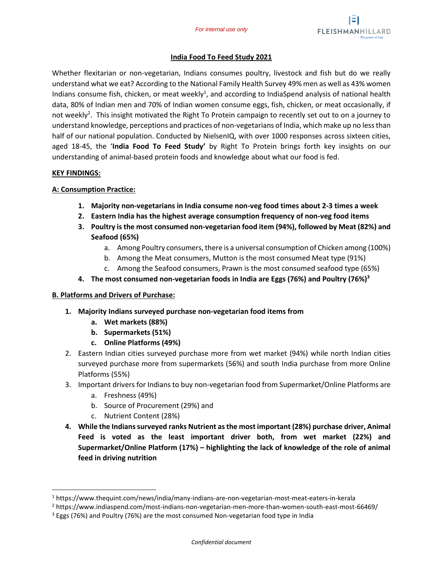

## **India Food To Feed Study 2021**

Whether flexitarian or non-vegetarian, Indians consumes poultry, livestock and fish but do we really understand what we eat? According to the National Family Health Survey 49% men as well as 43% women Indians consume fish, chicken, or meat weekly<sup>1</sup>, and according to IndiaSpend analysis of national health data, 80% of Indian men and 70% of Indian women consume eggs, fish, chicken, or meat occasionally, if not weekly<sup>2</sup>. This insight motivated the Right To Protein campaign to recently set out to on a journey to understand knowledge, perceptions and practices of non-vegetarians of India, which make up no less than half of our national population. Conducted by NielsenIQ, with over 1000 responses across sixteen cities, aged 18-45, the '**India Food To Feed Study'** by Right To Protein brings forth key insights on our understanding of animal-based protein foods and knowledge about what our food is fed.

#### **KEY FINDINGS:**

## **A: Consumption Practice:**

- **1. Majority non-vegetarians in India consume non-veg food times about 2-3 times a week**
- **2. Eastern India has the highest average consumption frequency of non-veg food items**
- **3. Poultry is the most consumed non-vegetarian food item (94%), followed by Meat (82%) and Seafood (65%)**
	- a. Among Poultry consumers, there is a universal consumption of Chicken among (100%)
	- b. Among the Meat consumers, Mutton is the most consumed Meat type (91%)
	- c. Among the Seafood consumers, Prawn is the most consumed seafood type (65%)
- **4. The most consumed non-vegetarian foods in India are Eggs (76%) and Poultry (76%)<sup>3</sup>**

# **B. Platforms and Drivers of Purchase:**

- **1. Majority Indians surveyed purchase non-vegetarian food items from**
	- **a. Wet markets (88%)**
	- **b. Supermarkets (51%)**
	- **c. Online Platforms (49%)**
- 2. Eastern Indian cities surveyed purchase more from wet market (94%) while north Indian cities surveyed purchase more from supermarkets (56%) and south India purchase from more Online Platforms (55%)
- 3. Important drivers for Indians to buy non-vegetarian food from Supermarket/Online Platforms are
	- a. Freshness (49%)
	- b. Source of Procurement (29%) and
	- c. Nutrient Content (28%)
- **4. While the Indians surveyed ranks Nutrient as the most important (28%) purchase driver, Animal Feed is voted as the least important driver both, from wet market (22%) and Supermarket/Online Platform (17%) – highlighting the lack of knowledge of the role of animal feed in driving nutrition**

<sup>1</sup> https://www.thequint.com/news/india/many-indians-are-non-vegetarian-most-meat-eaters-in-kerala

<sup>2</sup> https://www.indiaspend.com/most-indians-non-vegetarian-men-more-than-women-south-east-most-66469/

<sup>3</sup> Eggs (76%) and Poultry (76%) are the most consumed Non-vegetarian food type in India